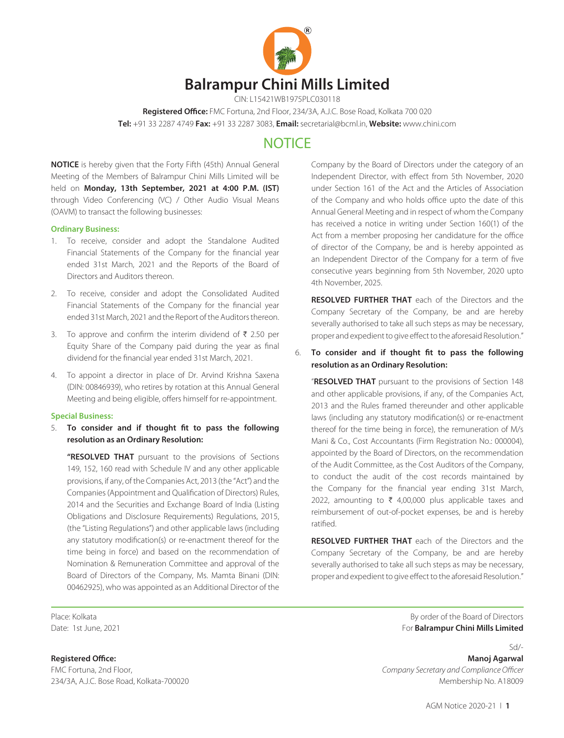

CIN: L15421WB1975PLC030118

**Registered Office:** FMC Fortuna, 2nd Floor, 234/3A, A.J.C. Bose Road, Kolkata 700 020

**Tel:** +91 33 2287 4749 **Fax:** +91 33 2287 3083, **Email:** secretarial@bcml.in, **Website:** www.chini.com

# **NOTICE**

**NOTICE** is hereby given that the Forty Fifth (45th) Annual General Meeting of the Members of Balrampur Chini Mills Limited will be held on **Monday, 13th September, 2021 at 4:00 P.M. (IST)** through Video Conferencing (VC) / Other Audio Visual Means (OAVM) to transact the following businesses:

#### **Ordinary Business:**

- 1. To receive, consider and adopt the Standalone Audited Financial Statements of the Company for the financial year ended 31st March, 2021 and the Reports of the Board of Directors and Auditors thereon.
- 2. To receive, consider and adopt the Consolidated Audited Financial Statements of the Company for the financial year ended 31st March, 2021 and the Report of the Auditors thereon.
- 3. To approve and confirm the interim dividend of  $\bar{\tau}$  2.50 per Equity Share of the Company paid during the year as final dividend for the financial year ended 31st March, 2021.
- 4. To appoint a director in place of Dr. Arvind Krishna Saxena (DIN: 00846939), who retires by rotation at this Annual General Meeting and being eligible, offers himself for re-appointment.

#### **Special Business:**

5. **To consider and if thought fit to pass the following resolution as an Ordinary Resolution:**

**"RESOLVED THAT** pursuant to the provisions of Sections 149, 152, 160 read with Schedule IV and any other applicable provisions, if any, of the Companies Act, 2013 (the "Act") and the Companies (Appointment and Qualification of Directors) Rules, 2014 and the Securities and Exchange Board of India (Listing Obligations and Disclosure Requirements) Regulations, 2015, (the "Listing Regulations") and other applicable laws (including any statutory modification(s) or re-enactment thereof for the time being in force) and based on the recommendation of Nomination & Remuneration Committee and approval of the Board of Directors of the Company, Ms. Mamta Binani (DIN: 00462925), who was appointed as an Additional Director of the

Company by the Board of Directors under the category of an Independent Director, with effect from 5th November, 2020 under Section 161 of the Act and the Articles of Association of the Company and who holds office upto the date of this Annual General Meeting and in respect of whom the Company has received a notice in writing under Section 160(1) of the Act from a member proposing her candidature for the office of director of the Company, be and is hereby appointed as an Independent Director of the Company for a term of five consecutive years beginning from 5th November, 2020 upto 4th November, 2025.

**RESOLVED FURTHER THAT** each of the Directors and the Company Secretary of the Company, be and are hereby severally authorised to take all such steps as may be necessary, proper and expedient to give effect to the aforesaid Resolution."

# 6. **To consider and if thought fit to pass the following resolution as an Ordinary Resolution:**

"**RESOLVED THAT** pursuant to the provisions of Section 148 and other applicable provisions, if any, of the Companies Act, 2013 and the Rules framed thereunder and other applicable laws (including any statutory modification(s) or re-enactment thereof for the time being in force), the remuneration of M/s Mani & Co., Cost Accountants (Firm Registration No.: 000004), appointed by the Board of Directors, on the recommendation of the Audit Committee, as the Cost Auditors of the Company, to conduct the audit of the cost records maintained by the Company for the financial year ending 31st March, 2022, amounting to  $\bar{\tau}$  4,00,000 plus applicable taxes and reimbursement of out-of-pocket expenses, be and is hereby ratified.

**RESOLVED FURTHER THAT** each of the Directors and the Company Secretary of the Company, be and are hereby severally authorised to take all such steps as may be necessary, proper and expedient to give effect to the aforesaid Resolution."

Place: Kolkata **By order of the Board of Directors By order of the Board of Directors** Date: 1st June, 2021 For **Balrampur Chini Mills Limited**

 $Sd$ **Registered Office: Manoj Agarwal** FMC Fortuna, 2nd Floor, *Company Secretary and Compliance Officer* 234/3A, A.J.C. Bose Road, Kolkata-700020 Membership No. A18009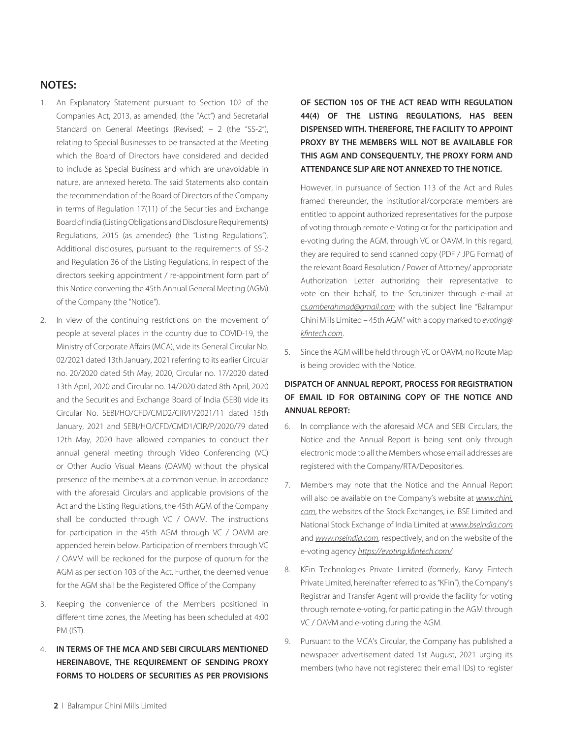# **NOTES:**

- 1. An Explanatory Statement pursuant to Section 102 of the Companies Act, 2013, as amended, (the "Act") and Secretarial Standard on General Meetings (Revised) – 2 (the "SS-2"), relating to Special Businesses to be transacted at the Meeting which the Board of Directors have considered and decided to include as Special Business and which are unavoidable in nature, are annexed hereto. The said Statements also contain the recommendation of the Board of Directors of the Company in terms of Regulation 17(11) of the Securities and Exchange Board of India (Listing Obligations and Disclosure Requirements) Regulations, 2015 (as amended) (the "Listing Regulations"). Additional disclosures, pursuant to the requirements of SS-2 and Regulation 36 of the Listing Regulations, in respect of the directors seeking appointment / re-appointment form part of this Notice convening the 45th Annual General Meeting (AGM) of the Company (the "Notice").
- 2. In view of the continuing restrictions on the movement of people at several places in the country due to COVID-19, the Ministry of Corporate Affairs (MCA), vide its General Circular No. 02/2021 dated 13th January, 2021 referring to its earlier Circular no. 20/2020 dated 5th May, 2020, Circular no. 17/2020 dated 13th April, 2020 and Circular no. 14/2020 dated 8th April, 2020 and the Securities and Exchange Board of India (SEBI) vide its Circular No. SEBI/HO/CFD/CMD2/CIR/P/2021/11 dated 15th January, 2021 and SEBI/HO/CFD/CMD1/CIR/P/2020/79 dated 12th May, 2020 have allowed companies to conduct their annual general meeting through Video Conferencing (VC) or Other Audio Visual Means (OAVM) without the physical presence of the members at a common venue. In accordance with the aforesaid Circulars and applicable provisions of the Act and the Listing Regulations, the 45th AGM of the Company shall be conducted through VC / OAVM. The instructions for participation in the 45th AGM through VC / OAVM are appended herein below. Participation of members through VC / OAVM will be reckoned for the purpose of quorum for the AGM as per section 103 of the Act. Further, the deemed venue for the AGM shall be the Registered Office of the Company
- 3. Keeping the convenience of the Members positioned in different time zones, the Meeting has been scheduled at 4:00 PM (IST).
- 4. **IN TERMS OF THE MCA AND SEBI CIRCULARS MENTIONED HEREINABOVE, THE REQUIREMENT OF SENDING PROXY FORMS TO HOLDERS OF SECURITIES AS PER PROVISIONS**

**OF SECTION 105 OF THE ACT READ WITH REGULATION 44(4) OF THE LISTING REGULATIONS, HAS BEEN DISPENSED WITH. THEREFORE, THE FACILITY TO APPOINT PROXY BY THE MEMBERS WILL NOT BE AVAILABLE FOR THIS AGM AND CONSEQUENTLY, THE PROXY FORM AND ATTENDANCE SLIP ARE NOT ANNEXED TO THE NOTICE.**

However, in pursuance of Section 113 of the Act and Rules framed thereunder, the institutional/corporate members are entitled to appoint authorized representatives for the purpose of voting through remote e-Voting or for the participation and e-voting during the AGM, through VC or OAVM. In this regard, they are required to send scanned copy (PDF / JPG Format) of the relevant Board Resolution / Power of Attorney/ appropriate Authorization Letter authorizing their representative to vote on their behalf, to the Scrutinizer through e-mail at *cs.amberahmad@gmail.com* with the subject line "Balrampur Chini Mills Limited – 45th AGM" with a copy marked to *evoting@ kfintech.com*.

Since the AGM will be held through VC or OAVM, no Route Map is being provided with the Notice.

# **DISPATCH OF ANNUAL REPORT, PROCESS FOR REGISTRATION OF EMAIL ID FOR OBTAINING COPY OF THE NOTICE AND ANNUAL REPORT:**

- 6. In compliance with the aforesaid MCA and SEBI Circulars, the Notice and the Annual Report is being sent only through electronic mode to all the Members whose email addresses are registered with the Company/RTA/Depositories.
- 7. Members may note that the Notice and the Annual Report will also be available on the Company's website at *www.chini. com*, the websites of the Stock Exchanges, i.e. BSE Limited and National Stock Exchange of India Limited at *www.bseindia.com* and *www.nseindia.com*, respectively, and on the website of the e-voting agency *https://evoting.kfintech.com/*.
- 8. KFin Technologies Private Limited (formerly, Karvy Fintech Private Limited, hereinafter referred to as "KFin"), the Company's Registrar and Transfer Agent will provide the facility for voting through remote e-voting, for participating in the AGM through VC / OAVM and e-voting during the AGM.
- 9. Pursuant to the MCA's Circular, the Company has published a newspaper advertisement dated 1st August, 2021 urging its members (who have not registered their email IDs) to register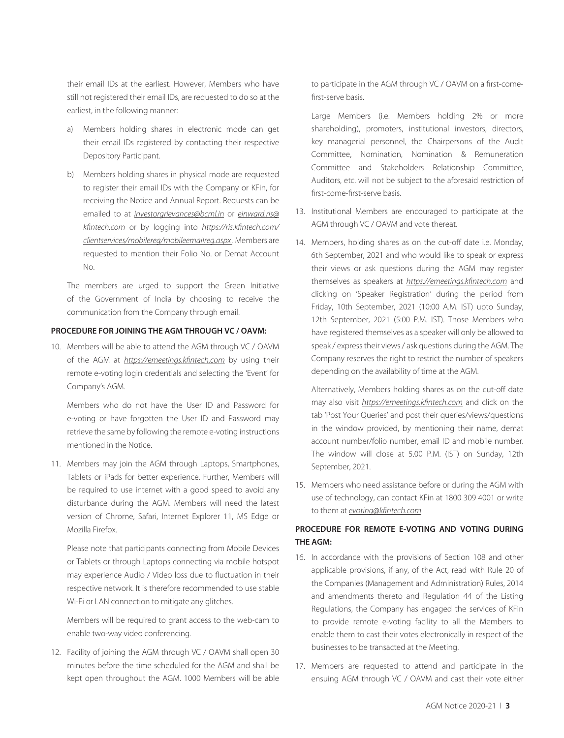their email IDs at the earliest. However, Members who have still not registered their email IDs, are requested to do so at the earliest, in the following manner:

- a) Members holding shares in electronic mode can get their email IDs registered by contacting their respective Depository Participant.
- b) Members holding shares in physical mode are requested to register their email IDs with the Company or KFin, for receiving the Notice and Annual Report. Requests can be emailed to at *investorgrievances@bcml.in* or *einward.ris@ kfintech.com* or by logging into *https://ris.kfintech.com/ clientservices/mobilereg/mobileemailreg.aspx* . Members are requested to mention their Folio No. or Demat Account No.

The members are urged to support the Green Initiative of the Government of India by choosing to receive the communication from the Company through email.

#### **PROCEDURE FOR JOINING THE AGM THROUGH VC / OAVM:**

10. Members will be able to attend the AGM through VC / OAVM of the AGM at *https://emeetings.kfintech.com* by using their remote e-voting login credentials and selecting the 'Event' for Company's AGM.

Members who do not have the User ID and Password for e-voting or have forgotten the User ID and Password may retrieve the same by following the remote e-voting instructions mentioned in the Notice.

11. Members may join the AGM through Laptops, Smartphones, Tablets or iPads for better experience. Further, Members will be required to use internet with a good speed to avoid any disturbance during the AGM. Members will need the latest version of Chrome, Safari, Internet Explorer 11, MS Edge or Mozilla Firefox.

Please note that participants connecting from Mobile Devices or Tablets or through Laptops connecting via mobile hotspot may experience Audio / Video loss due to fluctuation in their respective network. It is therefore recommended to use stable Wi-Fi or LAN connection to mitigate any glitches.

Members will be required to grant access to the web-cam to enable two-way video conferencing.

12. Facility of joining the AGM through VC / OAVM shall open 30 minutes before the time scheduled for the AGM and shall be kept open throughout the AGM. 1000 Members will be able to participate in the AGM through VC / OAVM on a first-comefirst-serve basis.

Large Members (i.e. Members holding 2% or more shareholding), promoters, institutional investors, directors, key managerial personnel, the Chairpersons of the Audit Committee, Nomination, Nomination & Remuneration Committee and Stakeholders Relationship Committee, Auditors, etc. will not be subject to the aforesaid restriction of first-come-first-serve basis.

- 13. Institutional Members are encouraged to participate at the AGM through VC / OAVM and vote thereat.
- 14. Members, holding shares as on the cut-off date i.e. Monday, 6th September, 2021 and who would like to speak or express their views or ask questions during the AGM may register themselves as speakers at *https://emeetings.kfintech.com* and clicking on 'Speaker Registration' during the period from Friday, 10th September, 2021 (10:00 A.M. IST) upto Sunday, 12th September, 2021 (5:00 P.M. IST). Those Members who have registered themselves as a speaker will only be allowed to speak / express their views / ask questions during the AGM. The Company reserves the right to restrict the number of speakers depending on the availability of time at the AGM.

Alternatively, Members holding shares as on the cut-off date may also visit *https://emeetings.kfintech.com* and click on the tab 'Post Your Queries' and post their queries/views/questions in the window provided, by mentioning their name, demat account number/folio number, email ID and mobile number. The window will close at 5.00 P.M. (IST) on Sunday, 12th September, 2021.

15. Members who need assistance before or during the AGM with use of technology, can contact KFin at 1800 309 4001 or write to them at *evoting@kfintech.com*

# **PROCEDURE FOR REMOTE E-VOTING AND VOTING DURING THE AGM:**

- 16. In accordance with the provisions of Section 108 and other applicable provisions, if any, of the Act, read with Rule 20 of the Companies (Management and Administration) Rules, 2014 and amendments thereto and Regulation 44 of the Listing Regulations, the Company has engaged the services of KFin to provide remote e-voting facility to all the Members to enable them to cast their votes electronically in respect of the businesses to be transacted at the Meeting.
- 17. Members are requested to attend and participate in the ensuing AGM through VC / OAVM and cast their vote either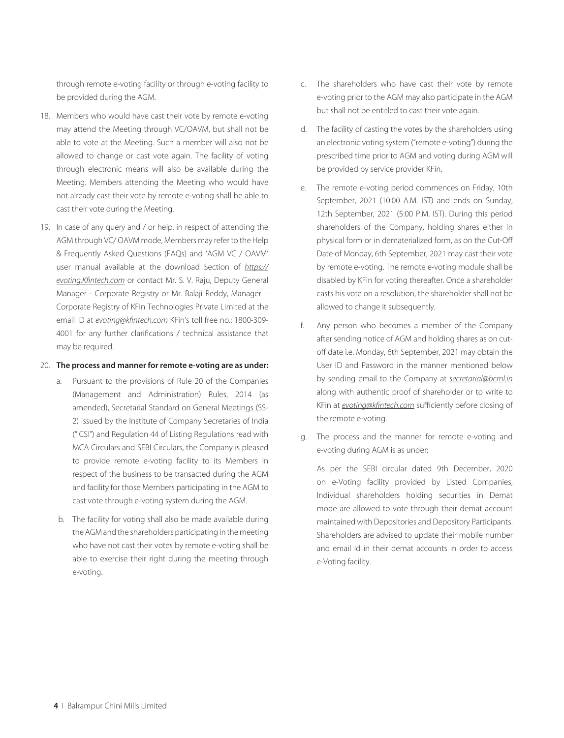through remote e-voting facility or through e-voting facility to be provided during the AGM.

- 18. Members who would have cast their vote by remote e-voting may attend the Meeting through VC/OAVM, but shall not be able to vote at the Meeting. Such a member will also not be allowed to change or cast vote again. The facility of voting through electronic means will also be available during the Meeting. Members attending the Meeting who would have not already cast their vote by remote e-voting shall be able to cast their vote during the Meeting.
- 19. In case of any query and / or help, in respect of attending the AGM through VC/ OAVM mode, Members may refer to the Help & Frequently Asked Questions (FAQs) and 'AGM VC / OAVM' user manual available at the download Section of *https:// evoting.Kfintech.com* or contact Mr. S. V. Raju, Deputy General Manager - Corporate Registry or Mr. Balaji Reddy, Manager – Corporate Registry of KFin Technologies Private Limited at the email ID at *evoting@kfintech.com* KFin's toll free no.: 1800-309- 4001 for any further clarifications / technical assistance that may be required.

#### 20. **The process and manner for remote e-voting are as under:**

- a. Pursuant to the provisions of Rule 20 of the Companies (Management and Administration) Rules, 2014 (as amended), Secretarial Standard on General Meetings (SS-2) issued by the Institute of Company Secretaries of India ("ICSI") and Regulation 44 of Listing Regulations read with MCA Circulars and SEBI Circulars, the Company is pleased to provide remote e-voting facility to its Members in respect of the business to be transacted during the AGM and facility for those Members participating in the AGM to cast vote through e-voting system during the AGM.
- b. The facility for voting shall also be made available during the AGM and the shareholders participating in the meeting who have not cast their votes by remote e-voting shall be able to exercise their right during the meeting through e-voting.
- c. The shareholders who have cast their vote by remote e-voting prior to the AGM may also participate in the AGM but shall not be entitled to cast their vote again.
- d. The facility of casting the votes by the shareholders using an electronic voting system ("remote e-voting") during the prescribed time prior to AGM and voting during AGM will be provided by service provider KFin.
- e. The remote e-voting period commences on Friday, 10th September, 2021 (10:00 A.M. IST) and ends on Sunday, 12th September, 2021 (5:00 P.M. IST). During this period shareholders of the Company, holding shares either in physical form or in dematerialized form, as on the Cut-Off Date of Monday, 6th September, 2021 may cast their vote by remote e-voting. The remote e-voting module shall be disabled by KFin for voting thereafter. Once a shareholder casts his vote on a resolution, the shareholder shall not be allowed to change it subsequently.
- f. Any person who becomes a member of the Company after sending notice of AGM and holding shares as on cutoff date i.e. Monday, 6th September, 2021 may obtain the User ID and Password in the manner mentioned below by sending email to the Company at *secretarial@bcml.in* along with authentic proof of shareholder or to write to KFin at *evoting@kfintech.com* sufficiently before closing of the remote e-voting.
- g. The process and the manner for remote e-voting and e-voting during AGM is as under:

As per the SEBI circular dated 9th December, 2020 on e-Voting facility provided by Listed Companies, Individual shareholders holding securities in Demat mode are allowed to vote through their demat account maintained with Depositories and Depository Participants. Shareholders are advised to update their mobile number and email Id in their demat accounts in order to access e-Voting facility.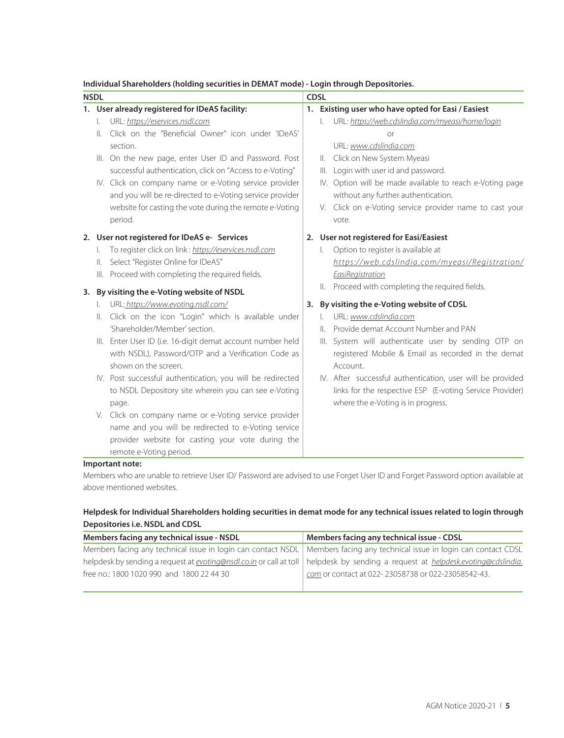## **Individual Shareholders (holding securities in DEMAT mode) - Login through Depositories.**

| <b>NSDL</b> |                |                                                             |  | <b>CDSL</b>   |                                                            |  |
|-------------|----------------|-------------------------------------------------------------|--|---------------|------------------------------------------------------------|--|
|             |                | 1. User already registered for IDeAS facility:              |  |               | 1. Existing user who have opted for Easi / Easiest         |  |
|             | L.             | URL: https://eservices.nsdl.com                             |  | L.            | URL: https://web.cdslindia.com/myeasi/home/login           |  |
|             | II.            | Click on the "Beneficial Owner" icon under 'IDeAS'          |  |               |                                                            |  |
|             |                | section.                                                    |  |               | URL: www.cdslindia.com                                     |  |
|             |                | III. On the new page, enter User ID and Password. Post      |  | $\parallel$ . | Click on New System Myeasi                                 |  |
|             |                | successful authentication, click on "Access to e-Voting"    |  | III.          | Login with user id and password.                           |  |
|             |                | IV. Click on company name or e-Voting service provider      |  |               | IV. Option will be made available to reach e-Voting page   |  |
|             |                | and you will be re-directed to e-Voting service provider    |  |               | without any further authentication.                        |  |
|             |                | website for casting the vote during the remote e-Voting     |  |               | V. Click on e-Voting service provider name to cast your    |  |
|             |                | period.                                                     |  |               | vote.                                                      |  |
|             |                | 2. User not registered for IDeAS e- Services                |  |               | 2. User not registered for Easi/Easiest                    |  |
|             | I.             | To register click on link: https://eservices.nsdl.com       |  | L.            | Option to register is available at                         |  |
|             | $\parallel$ .  | Select "Register Online for IDeAS"                          |  |               | https://web.cdslindia.com/myeasi/Registration/             |  |
|             |                | III. Proceed with completing the required fields.           |  |               | EasiRegistration                                           |  |
| 3.          |                | By visiting the e-Voting website of NSDL                    |  |               | II. Proceed with completing the required fields.           |  |
|             |                | URL: https://www.evoting.nsdl.com/                          |  |               | 3. By visiting the e-Voting website of CDSL                |  |
|             | $\mathbb{I}$ . | Click on the icon "Login" which is available under          |  | L.            | URL: www.cdslindia.com                                     |  |
|             |                | 'Shareholder/Member' section.                               |  | Ш.            | Provide demat Account Number and PAN                       |  |
|             |                | III. Enter User ID (i.e. 16-digit demat account number held |  |               | III. System will authenticate user by sending OTP on       |  |
|             |                | with NSDL), Password/OTP and a Verification Code as         |  |               | registered Mobile & Email as recorded in the demat         |  |
|             |                | shown on the screen.                                        |  |               | Account.                                                   |  |
|             |                | IV. Post successful authentication, you will be redirected  |  |               | IV. After successful authentication, user will be provided |  |
|             |                | to NSDL Depository site wherein you can see e-Voting        |  |               | links for the respective ESP (E-voting Service Provider)   |  |
|             |                | page.                                                       |  |               | where the e-Voting is in progress.                         |  |
|             |                | V. Click on company name or e-Voting service provider       |  |               |                                                            |  |
|             |                | name and you will be redirected to e-Voting service         |  |               |                                                            |  |
|             |                | provider website for casting your vote during the           |  |               |                                                            |  |
|             |                | remote e-Voting period.                                     |  |               |                                                            |  |

#### **Important note:**

Members who are unable to retrieve User ID/ Password are advised to use Forget User ID and Forget Password option available at above mentioned websites.

# **Helpdesk for Individual Shareholders holding securities in demat mode for any technical issues related to login through Depositories i.e. NSDL and CDSL**

| Members facing any technical issue - NSDL                                                                                                        | Members facing any technical issue - CDSL          |  |
|--------------------------------------------------------------------------------------------------------------------------------------------------|----------------------------------------------------|--|
| Members facing any technical issue in login can contact NSDL   Members facing any technical issue in login can contact CDSL                      |                                                    |  |
| helpdesk by sending a request at <i>evoting@nsdl.co.in</i> or call at toll   helpdesk by sending a request at <i>helpdesk.evoting@cdslindia.</i> |                                                    |  |
| free no.: 1800 1020 990 and 1800 22 44 30                                                                                                        | com or contact at 022-23058738 or 022-23058542-43. |  |
|                                                                                                                                                  |                                                    |  |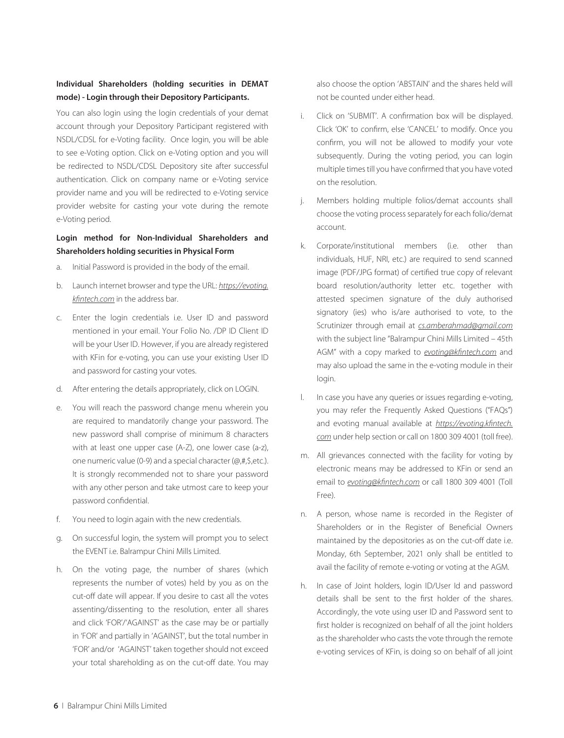# **Individual Shareholders (holding securities in DEMAT mode) - Login through their Depository Participants.**

You can also login using the login credentials of your demat account through your Depository Participant registered with NSDL/CDSL for e-Voting facility. Once login, you will be able to see e-Voting option. Click on e-Voting option and you will be redirected to NSDL/CDSL Depository site after successful authentication. Click on company name or e-Voting service provider name and you will be redirected to e-Voting service provider website for casting your vote during the remote e-Voting period.

# **Login method for Non-Individual Shareholders and Shareholders holding securities in Physical Form**

- a. Initial Password is provided in the body of the email.
- b. Launch internet browser and type the URL: *https://evoting. kfintech.com* in the address bar.
- c. Enter the login credentials i.e. User ID and password mentioned in your email. Your Folio No. /DP ID Client ID will be your User ID. However, if you are already registered with KFin for e-voting, you can use your existing User ID and password for casting your votes.
- d. After entering the details appropriately, click on LOGIN.
- e. You will reach the password change menu wherein you are required to mandatorily change your password. The new password shall comprise of minimum 8 characters with at least one upper case (A-Z), one lower case (a-z), one numeric value (0-9) and a special character (@,#,\$,etc.). It is strongly recommended not to share your password with any other person and take utmost care to keep your password confidential.
- f. You need to login again with the new credentials.
- g. On successful login, the system will prompt you to select the EVENT i.e. Balrampur Chini Mills Limited.
- h. On the voting page, the number of shares (which represents the number of votes) held by you as on the cut-off date will appear. If you desire to cast all the votes assenting/dissenting to the resolution, enter all shares and click 'FOR'/'AGAINST' as the case may be or partially in 'FOR' and partially in 'AGAINST', but the total number in 'FOR' and/or 'AGAINST' taken together should not exceed your total shareholding as on the cut-off date. You may

also choose the option 'ABSTAIN' and the shares held will not be counted under either head.

- i. Click on 'SUBMIT'. A confirmation box will be displayed. Click 'OK' to confirm, else 'CANCEL' to modify. Once you confirm, you will not be allowed to modify your vote subsequently. During the voting period, you can login multiple times till you have confirmed that you have voted on the resolution.
- j. Members holding multiple folios/demat accounts shall choose the voting process separately for each folio/demat account.
- k. Corporate/institutional members (i.e. other than individuals, HUF, NRI, etc.) are required to send scanned image (PDF/JPG format) of certified true copy of relevant board resolution/authority letter etc. together with attested specimen signature of the duly authorised signatory (ies) who is/are authorised to vote, to the Scrutinizer through email at *cs.amberahmad@gmail.com*  with the subject line "Balrampur Chini Mills Limited – 45th AGM" with a copy marked to *evoting@kfintech.com* and may also upload the same in the e-voting module in their login.
- l. In case you have any queries or issues regarding e-voting, you may refer the Frequently Asked Questions ("FAQs") and evoting manual available at *https://evoting.kfintech. com* under help section or call on 1800 309 4001 (toll free).
- m. All grievances connected with the facility for voting by electronic means may be addressed to KFin or send an email to *evoting@kfintech.com* or call 1800 309 4001 (Toll Free).
- n. A person, whose name is recorded in the Register of Shareholders or in the Register of Beneficial Owners maintained by the depositories as on the cut-off date i.e. Monday, 6th September, 2021 only shall be entitled to avail the facility of remote e-voting or voting at the AGM.
- h. In case of Joint holders, login ID/User Id and password details shall be sent to the first holder of the shares. Accordingly, the vote using user ID and Password sent to first holder is recognized on behalf of all the joint holders as the shareholder who casts the vote through the remote e-voting services of KFin, is doing so on behalf of all joint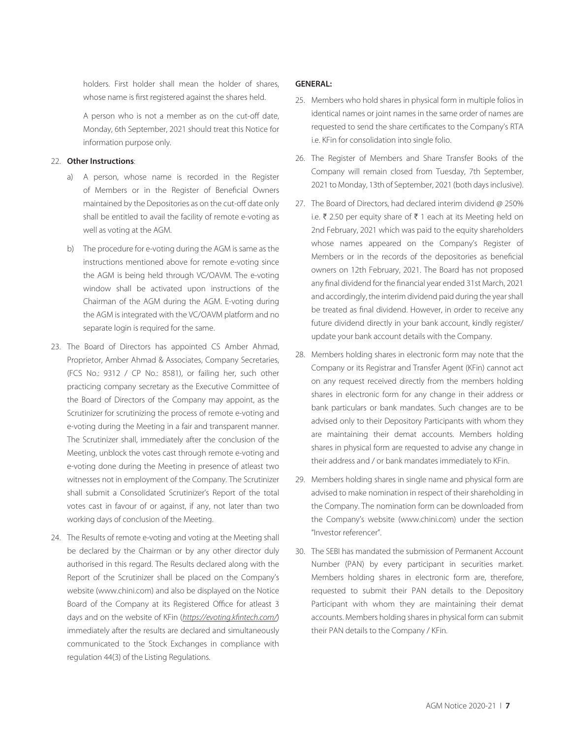holders. First holder shall mean the holder of shares, whose name is first registered against the shares held.

A person who is not a member as on the cut-off date, Monday, 6th September, 2021 should treat this Notice for information purpose only.

#### 22. **Other Instructions**:

- a) A person, whose name is recorded in the Register of Members or in the Register of Beneficial Owners maintained by the Depositories as on the cut-off date only shall be entitled to avail the facility of remote e-voting as well as voting at the AGM.
- b) The procedure for e-voting during the AGM is same as the instructions mentioned above for remote e-voting since the AGM is being held through VC/OAVM. The e-voting window shall be activated upon instructions of the Chairman of the AGM during the AGM. E-voting during the AGM is integrated with the VC/OAVM platform and no separate login is required for the same.
- 23. The Board of Directors has appointed CS Amber Ahmad, Proprietor, Amber Ahmad & Associates, Company Secretaries, (FCS No.: 9312 / CP No.: 8581), or failing her, such other practicing company secretary as the Executive Committee of the Board of Directors of the Company may appoint, as the Scrutinizer for scrutinizing the process of remote e-voting and e-voting during the Meeting in a fair and transparent manner. The Scrutinizer shall, immediately after the conclusion of the Meeting, unblock the votes cast through remote e-voting and e-voting done during the Meeting in presence of atleast two witnesses not in employment of the Company. The Scrutinizer shall submit a Consolidated Scrutinizer's Report of the total votes cast in favour of or against, if any, not later than two working days of conclusion of the Meeting.
- 24. The Results of remote e-voting and voting at the Meeting shall be declared by the Chairman or by any other director duly authorised in this regard. The Results declared along with the Report of the Scrutinizer shall be placed on the Company's website (www.chini.com) and also be displayed on the Notice Board of the Company at its Registered Office for atleast 3 days and on the website of KFin (*https://evoting.kfintech.com/*) immediately after the results are declared and simultaneously communicated to the Stock Exchanges in compliance with regulation 44(3) of the Listing Regulations.

### **GENERAL:**

- 25. Members who hold shares in physical form in multiple folios in identical names or joint names in the same order of names are requested to send the share certificates to the Company's RTA i.e. KFin for consolidation into single folio.
- 26. The Register of Members and Share Transfer Books of the Company will remain closed from Tuesday, 7th September, 2021 to Monday, 13th of September, 2021 (both days inclusive).
- 27. The Board of Directors, had declared interim dividend @ 250% i.e. ₹ 2.50 per equity share of ₹ 1 each at its Meeting held on 2nd February, 2021 which was paid to the equity shareholders whose names appeared on the Company's Register of Members or in the records of the depositories as beneficial owners on 12th February, 2021. The Board has not proposed any final dividend for the financial year ended 31st March, 2021 and accordingly, the interim dividend paid during the year shall be treated as final dividend. However, in order to receive any future dividend directly in your bank account, kindly register/ update your bank account details with the Company.
- 28. Members holding shares in electronic form may note that the Company or its Registrar and Transfer Agent (KFin) cannot act on any request received directly from the members holding shares in electronic form for any change in their address or bank particulars or bank mandates. Such changes are to be advised only to their Depository Participants with whom they are maintaining their demat accounts. Members holding shares in physical form are requested to advise any change in their address and / or bank mandates immediately to KFin.
- 29. Members holding shares in single name and physical form are advised to make nomination in respect of their shareholding in the Company. The nomination form can be downloaded from the Company's website (www.chini.com) under the section "Investor referencer".
- 30. The SEBI has mandated the submission of Permanent Account Number (PAN) by every participant in securities market. Members holding shares in electronic form are, therefore, requested to submit their PAN details to the Depository Participant with whom they are maintaining their demat accounts. Members holding shares in physical form can submit their PAN details to the Company / KFin.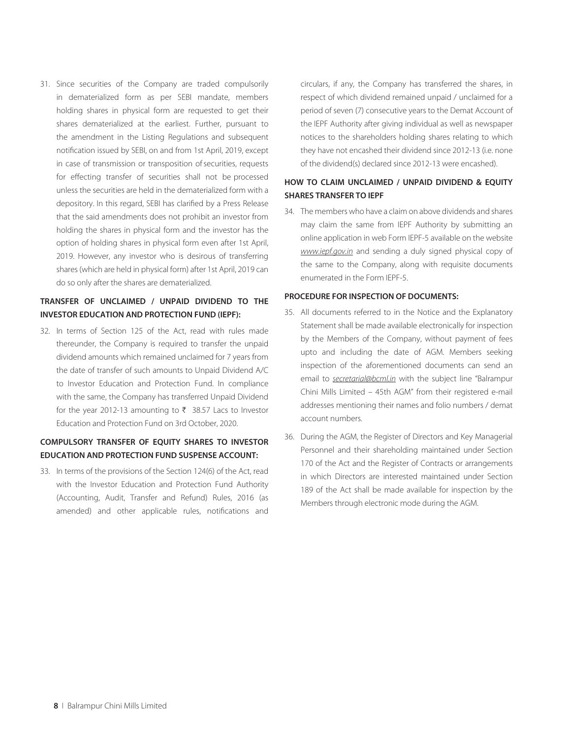31. Since securities of the Company are traded compulsorily in dematerialized form as per SEBI mandate, members holding shares in physical form are requested to get their shares dematerialized at the earliest. Further, pursuant to the amendment in the Listing Regulations and subsequent notification issued by SEBI, on and from 1st April, 2019, except in case of transmission or transposition of securities, requests for effecting transfer of securities shall not be processed unless the securities are held in the dematerialized form with a depository. In this regard, SEBI has clarified by a Press Release that the said amendments does not prohibit an investor from holding the shares in physical form and the investor has the option of holding shares in physical form even after 1st April, 2019. However, any investor who is desirous of transferring shares (which are held in physical form) after 1st April, 2019 can do so only after the shares are dematerialized.

# **TRANSFER OF UNCLAIMED / UNPAID DIVIDEND TO THE INVESTOR EDUCATION AND PROTECTION FUND (IEPF):**

32. In terms of Section 125 of the Act, read with rules made thereunder, the Company is required to transfer the unpaid dividend amounts which remained unclaimed for 7 years from the date of transfer of such amounts to Unpaid Dividend A/C to Investor Education and Protection Fund. In compliance with the same, the Company has transferred Unpaid Dividend for the year 2012-13 amounting to  $\bar{\tau}$  38.57 Lacs to Investor Education and Protection Fund on 3rd October, 2020.

# **COMPULSORY TRANSFER OF EQUITY SHARES TO INVESTOR EDUCATION AND PROTECTION FUND SUSPENSE ACCOUNT:**

33. In terms of the provisions of the Section 124(6) of the Act, read with the Investor Education and Protection Fund Authority (Accounting, Audit, Transfer and Refund) Rules, 2016 (as amended) and other applicable rules, notifications and circulars, if any, the Company has transferred the shares, in respect of which dividend remained unpaid / unclaimed for a period of seven (7) consecutive years to the Demat Account of the IEPF Authority after giving individual as well as newspaper notices to the shareholders holding shares relating to which they have not encashed their dividend since 2012-13 (i.e. none of the dividend(s) declared since 2012-13 were encashed).

## **HOW TO CLAIM UNCLAIMED / UNPAID DIVIDEND & EQUITY SHARES TRANSFER TO IEPF**

34. The members who have a claim on above dividends and shares may claim the same from IEPF Authority by submitting an online application in web Form IEPF-5 available on the website *www.iepf.gov.in* and sending a duly signed physical copy of the same to the Company, along with requisite documents enumerated in the Form IEPF-5.

### **PROCEDURE FOR INSPECTION OF DOCUMENTS:**

- 35. All documents referred to in the Notice and the Explanatory Statement shall be made available electronically for inspection by the Members of the Company, without payment of fees upto and including the date of AGM. Members seeking inspection of the aforementioned documents can send an email to *secretarial@bcml.in* with the subject line "Balrampur Chini Mills Limited – 45th AGM" from their registered e-mail addresses mentioning their names and folio numbers / demat account numbers.
- 36. During the AGM, the Register of Directors and Key Managerial Personnel and their shareholding maintained under Section 170 of the Act and the Register of Contracts or arrangements in which Directors are interested maintained under Section 189 of the Act shall be made available for inspection by the Members through electronic mode during the AGM.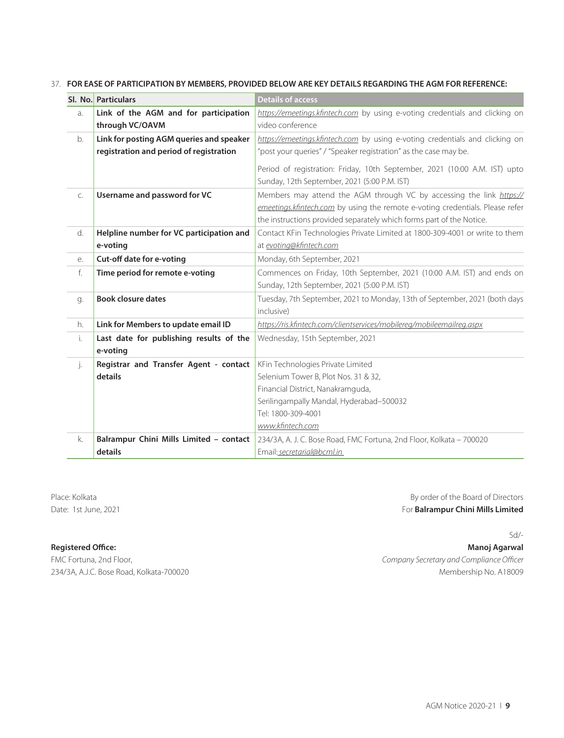#### 37. **FOR EASE OF PARTICIPATION BY MEMBERS, PROVIDED BELOW ARE KEY DETAILS REGARDING THE AGM FOR REFERENCE:**

|    | SI. No. Particulars                                 | <b>Details of access</b>                                                      |
|----|-----------------------------------------------------|-------------------------------------------------------------------------------|
| a. | Link of the AGM and for participation               | https://emeetings.kfintech.com by using e-voting credentials and clicking on  |
|    | through VC/OAVM                                     | video conference                                                              |
| b. | Link for posting AGM queries and speaker            | https://emeetings.kfintech.com by using e-voting credentials and clicking on  |
|    | registration and period of registration             | "post your queries" / "Speaker registration" as the case may be.              |
|    |                                                     | Period of registration: Friday, 10th September, 2021 (10:00 A.M. IST) upto    |
|    |                                                     | Sunday, 12th September, 2021 (5:00 P.M. IST)                                  |
| C. | Username and password for VC                        | Members may attend the AGM through VC by accessing the link https://          |
|    |                                                     | emeetings.kfintech.com by using the remote e-voting credentials. Please refer |
|    |                                                     | the instructions provided separately which forms part of the Notice.          |
| d. | Helpline number for VC participation and            | Contact KFin Technologies Private Limited at 1800-309-4001 or write to them   |
|    | e-voting                                            | at evoting@kfintech.com                                                       |
| e. | Cut-off date for e-voting                           | Monday, 6th September, 2021                                                   |
| f. | Time period for remote e-voting                     | Commences on Friday, 10th September, 2021 (10:00 A.M. IST) and ends on        |
|    |                                                     | Sunday, 12th September, 2021 (5:00 P.M. IST)                                  |
| g. | <b>Book closure dates</b>                           | Tuesday, 7th September, 2021 to Monday, 13th of September, 2021 (both days    |
|    |                                                     | inclusive)                                                                    |
| h. | Link for Members to update email ID                 | https://ris.kfintech.com/clientservices/mobilereg/mobileemailreg.aspx         |
| i. | Last date for publishing results of the<br>e-voting | Wednesday, 15th September, 2021                                               |
| j. | Registrar and Transfer Agent - contact              | KFin Technologies Private Limited                                             |
|    | details                                             | Selenium Tower B, Plot Nos. 31 & 32,                                          |
|    |                                                     | Financial District, Nanakramquda,                                             |
|    |                                                     | Serilingampally Mandal, Hyderabad-500032                                      |
|    |                                                     | Tel: 1800-309-4001                                                            |
|    |                                                     | www.kfintech.com                                                              |
| k. | Balrampur Chini Mills Limited - contact             | 234/3A, A. J. C. Bose Road, FMC Fortuna, 2nd Floor, Kolkata - 700020          |
|    | details                                             | Email: secretarial@bcml.in                                                    |

Place: Kolkata By order of the Board of Directors Date: 1st June, 2021 **For Balrampur Chini Mills Limited** 

Sd/-

**Registered Office: Manoj Agarwal** FMC Fortuna, 2nd Floor, *Company Secretary and Compliance Officer* 234/3A, A.J.C. Bose Road, Kolkata-700020 Membership No. A18009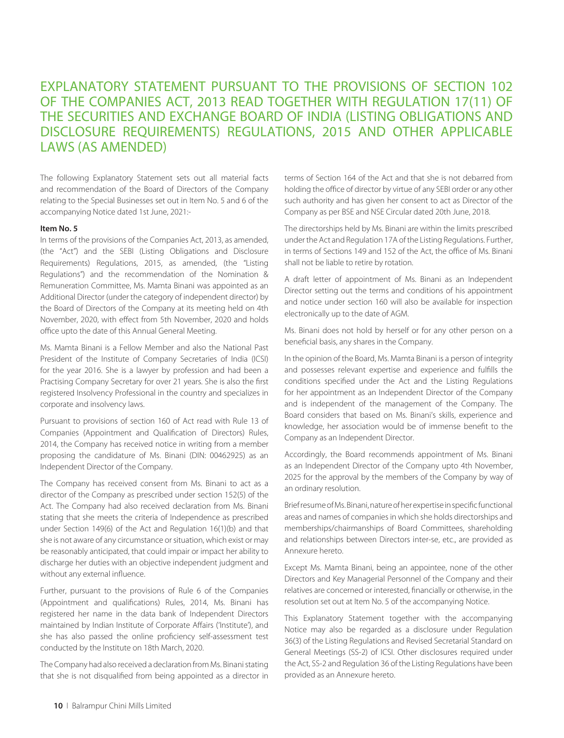# EXPLANATORY STATEMENT PURSUANT TO THE PROVISIONS OF SECTION 102 OF THE COMPANIES ACT, 2013 READ TOGETHER WITH REGULATION 17(11) OF THE SECURITIES AND EXCHANGE BOARD OF INDIA (LISTING OBLIGATIONS AND DISCLOSURE REQUIREMENTS) REGULATIONS, 2015 AND OTHER APPLICABLE LAWS (AS AMENDED)

The following Explanatory Statement sets out all material facts and recommendation of the Board of Directors of the Company relating to the Special Businesses set out in Item No. 5 and 6 of the accompanying Notice dated 1st June, 2021:-

#### **Item No. 5**

In terms of the provisions of the Companies Act, 2013, as amended, (the "Act") and the SEBI (Listing Obligations and Disclosure Requirements) Regulations, 2015, as amended, (the "Listing Regulations") and the recommendation of the Nomination & Remuneration Committee, Ms. Mamta Binani was appointed as an Additional Director (under the category of independent director) by the Board of Directors of the Company at its meeting held on 4th November, 2020, with effect from 5th November, 2020 and holds office upto the date of this Annual General Meeting.

Ms. Mamta Binani is a Fellow Member and also the National Past President of the Institute of Company Secretaries of India (ICSI) for the year 2016. She is a lawyer by profession and had been a Practising Company Secretary for over 21 years. She is also the first registered Insolvency Professional in the country and specializes in corporate and insolvency laws.

Pursuant to provisions of section 160 of Act read with Rule 13 of Companies (Appointment and Qualification of Directors) Rules, 2014, the Company has received notice in writing from a member proposing the candidature of Ms. Binani (DIN: 00462925) as an Independent Director of the Company.

The Company has received consent from Ms. Binani to act as a director of the Company as prescribed under section 152(5) of the Act. The Company had also received declaration from Ms. Binani stating that she meets the criteria of Independence as prescribed under Section 149(6) of the Act and Regulation 16(1)(b) and that she is not aware of any circumstance or situation, which exist or may be reasonably anticipated, that could impair or impact her ability to discharge her duties with an objective independent judgment and without any external influence.

Further, pursuant to the provisions of Rule 6 of the Companies (Appointment and qualifications) Rules, 2014, Ms. Binani has registered her name in the data bank of Independent Directors maintained by Indian Institute of Corporate Affairs ('Institute'), and she has also passed the online proficiency self-assessment test conducted by the Institute on 18th March, 2020.

The Company had also received a declaration from Ms. Binani stating that she is not disqualified from being appointed as a director in terms of Section 164 of the Act and that she is not debarred from holding the office of director by virtue of any SEBI order or any other such authority and has given her consent to act as Director of the Company as per BSE and NSE Circular dated 20th June, 2018.

The directorships held by Ms. Binani are within the limits prescribed under the Act and Regulation 17A of the Listing Regulations. Further, in terms of Sections 149 and 152 of the Act, the office of Ms. Binani shall not be liable to retire by rotation.

A draft letter of appointment of Ms. Binani as an Independent Director setting out the terms and conditions of his appointment and notice under section 160 will also be available for inspection electronically up to the date of AGM.

Ms. Binani does not hold by herself or for any other person on a beneficial basis, any shares in the Company.

In the opinion of the Board, Ms. Mamta Binani is a person of integrity and possesses relevant expertise and experience and fulfills the conditions specified under the Act and the Listing Regulations for her appointment as an Independent Director of the Company and is independent of the management of the Company. The Board considers that based on Ms. Binani's skills, experience and knowledge, her association would be of immense benefit to the Company as an Independent Director.

Accordingly, the Board recommends appointment of Ms. Binani as an Independent Director of the Company upto 4th November, 2025 for the approval by the members of the Company by way of an ordinary resolution.

Brief resume of Ms. Binani, nature of her expertise in specific functional areas and names of companies in which she holds directorships and memberships/chairmanships of Board Committees, shareholding and relationships between Directors inter-se, etc., are provided as Annexure hereto.

Except Ms. Mamta Binani, being an appointee, none of the other Directors and Key Managerial Personnel of the Company and their relatives are concerned or interested, financially or otherwise, in the resolution set out at Item No. 5 of the accompanying Notice.

This Explanatory Statement together with the accompanying Notice may also be regarded as a disclosure under Regulation 36(3) of the Listing Regulations and Revised Secretarial Standard on General Meetings (SS-2) of ICSI. Other disclosures required under the Act, SS-2 and Regulation 36 of the Listing Regulations have been provided as an Annexure hereto.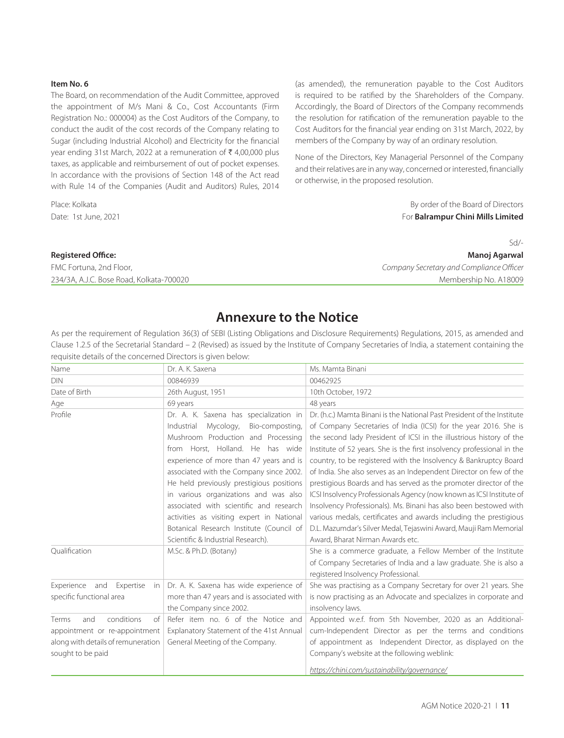#### **Item No. 6**

The Board, on recommendation of the Audit Committee, approved the appointment of M/s Mani & Co., Cost Accountants (Firm Registration No.: 000004) as the Cost Auditors of the Company, to conduct the audit of the cost records of the Company relating to Sugar (including Industrial Alcohol) and Electricity for the financial year ending 31st March, 2022 at a remuneration of  $\bar{\tau}$  4,00,000 plus taxes, as applicable and reimbursement of out of pocket expenses. In accordance with the provisions of Section 148 of the Act read with Rule 14 of the Companies (Audit and Auditors) Rules, 2014

(as amended), the remuneration payable to the Cost Auditors is required to be ratified by the Shareholders of the Company. Accordingly, the Board of Directors of the Company recommends the resolution for ratification of the remuneration payable to the Cost Auditors for the financial year ending on 31st March, 2022, by members of the Company by way of an ordinary resolution.

None of the Directors, Key Managerial Personnel of the Company and their relatives are in any way, concerned or interested, financially or otherwise, in the proposed resolution.

Place: Kolkata **By order of the Board of Directors By order of the Board of Directors** Date: 1st June, 2021 For **Balrampur Chini Mills Limited**

234/3A, A.J.C. Bose Road, Kolkata-700020 Membership No. A18009

 $Sd$ **Registered Office: Manoj Agarwal** FMC Fortuna, 2nd Floor, *Company Secretary and Compliance Officer*

# **Annexure to the Notice**

As per the requirement of Regulation 36(3) of SEBI (Listing Obligations and Disclosure Requirements) Regulations, 2015, as amended and Clause 1.2.5 of the Secretarial Standard – 2 (Revised) as issued by the Institute of Company Secretaries of India, a statement containing the requisite details of the concerned Directors is given below:

| Name                               | Dr. A. K. Saxena                           | Ms. Mamta Binani                                                        |
|------------------------------------|--------------------------------------------|-------------------------------------------------------------------------|
| <b>DIN</b>                         | 00846939                                   | 00462925                                                                |
| Date of Birth                      | 26th August, 1951                          | 10th October, 1972                                                      |
| Age                                | 69 years                                   | 48 years                                                                |
| Profile                            | Dr. A. K. Saxena has specialization in     | Dr. (h.c.) Mamta Binani is the National Past President of the Institute |
|                                    | Mycology,<br>Bio-composting,<br>Industrial | of Company Secretaries of India (ICSI) for the year 2016. She is        |
|                                    | Mushroom Production and Processing         | the second lady President of ICSI in the illustrious history of the     |
|                                    | from Horst, Holland. He has wide           | Institute of 52 years. She is the first insolvency professional in the  |
|                                    | experience of more than 47 years and is    | country, to be registered with the Insolvency & Bankruptcy Board        |
|                                    | associated with the Company since 2002.    | of India. She also serves as an Independent Director on few of the      |
|                                    | He held previously prestigious positions   | prestigious Boards and has served as the promoter director of the       |
|                                    | in various organizations and was also      | ICSI Insolvency Professionals Agency (now known as ICSI Institute of    |
|                                    | associated with scientific and research    | Insolvency Professionals). Ms. Binani has also been bestowed with       |
|                                    | activities as visiting expert in National  | various medals, certificates and awards including the prestigious       |
|                                    | Botanical Research Institute (Council of   | D.L. Mazumdar's Silver Medal, Tejaswini Award, Mauji Ram Memorial       |
|                                    | Scientific & Industrial Research).         | Award, Bharat Nirman Awards etc.                                        |
| Qualification                      | M.Sc. & Ph.D. (Botany)                     | She is a commerce graduate, a Fellow Member of the Institute            |
|                                    |                                            | of Company Secretaries of India and a law graduate. She is also a       |
|                                    |                                            | registered Insolvency Professional.                                     |
| Experience and<br>Expertise<br>in  | Dr. A. K. Saxena has wide experience of    | She was practising as a Company Secretary for over 21 years. She        |
| specific functional area           | more than 47 years and is associated with  | is now practising as an Advocate and specializes in corporate and       |
|                                    | the Company since 2002.                    | insolvency laws.                                                        |
| conditions<br>and<br>of<br>Terms   | Refer item no. 6 of the Notice and         | Appointed w.e.f. from 5th November, 2020 as an Additional-              |
| appointment or re-appointment      | Explanatory Statement of the 41st Annual   | cum-Independent Director as per the terms and conditions                |
| along with details of remuneration | General Meeting of the Company.            | of appointment as Independent Director, as displayed on the             |
| sought to be paid                  |                                            | Company's website at the following weblink:                             |
|                                    |                                            | https://chini.com/sustainability/governance/                            |